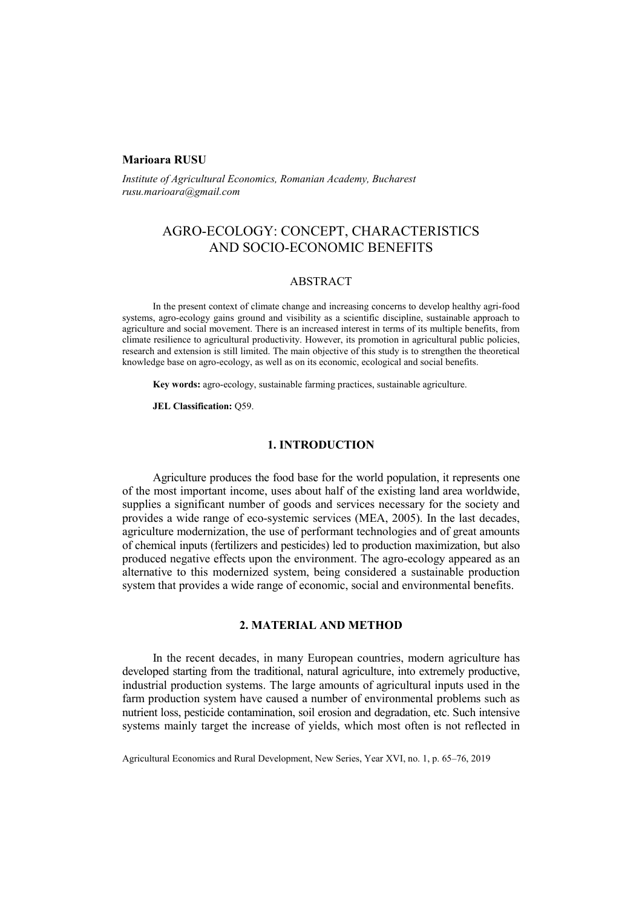### **Marioara RUSU**

*Institute of Agricultural Economics, Romanian Academy, Bucharest rusu.marioara@gmail.com* 

# AGRO-ECOLOGY: CONCEPT, CHARACTERISTICS AND SOCIO-ECONOMIC BENEFITS

### ABSTRACT

In the present context of climate change and increasing concerns to develop healthy agri-food systems, agro-ecology gains ground and visibility as a scientific discipline, sustainable approach to agriculture and social movement. There is an increased interest in terms of its multiple benefits, from climate resilience to agricultural productivity. However, its promotion in agricultural public policies, research and extension is still limited. The main objective of this study is to strengthen the theoretical knowledge base on agro-ecology, as well as on its economic, ecological and social benefits.

**Key words:** agro-ecology, sustainable farming practices, sustainable agriculture.

**JEL Classification:** Q59.

### **1. INTRODUCTION**

Agriculture produces the food base for the world population, it represents one of the most important income, uses about half of the existing land area worldwide, supplies a significant number of goods and services necessary for the society and provides a wide range of eco-systemic services (MEA, 2005). In the last decades, agriculture modernization, the use of performant technologies and of great amounts of chemical inputs (fertilizers and pesticides) led to production maximization, but also produced negative effects upon the environment. The agro-ecology appeared as an alternative to this modernized system, being considered a sustainable production system that provides a wide range of economic, social and environmental benefits.

# **2. MATERIAL AND METHOD**

In the recent decades, in many European countries, modern agriculture has developed starting from the traditional, natural agriculture, into extremely productive, industrial production systems. The large amounts of agricultural inputs used in the farm production system have caused a number of environmental problems such as nutrient loss, pesticide contamination, soil erosion and degradation, etc. Such intensive systems mainly target the increase of yields, which most often is not reflected in

Agricultural Economics and Rural Development, New Series, Year XVI, no. 1, p. 65–76, 2019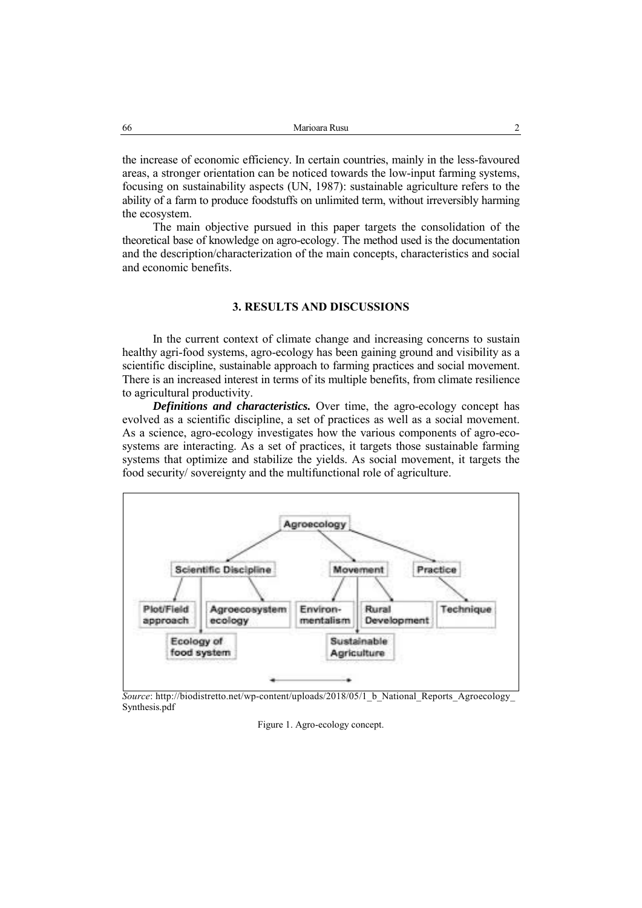the increase of economic efficiency. In certain countries, mainly in the less-favoured areas, a stronger orientation can be noticed towards the low-input farming systems, focusing on sustainability aspects (UN, 1987): sustainable agriculture refers to the ability of a farm to produce foodstuffs on unlimited term, without irreversibly harming the ecosystem.

The main objective pursued in this paper targets the consolidation of the theoretical base of knowledge on agro-ecology. The method used is the documentation and the description/characterization of the main concepts, characteristics and social and economic benefits.

# **3. RESULTS AND DISCUSSIONS**

In the current context of climate change and increasing concerns to sustain healthy agri-food systems, agro-ecology has been gaining ground and visibility as a scientific discipline, sustainable approach to farming practices and social movement. There is an increased interest in terms of its multiple benefits, from climate resilience to agricultural productivity.

*Definitions and characteristics.* Over time, the agro-ecology concept has evolved as a scientific discipline, a set of practices as well as a social movement. As a science, agro-ecology investigates how the various components of agro-ecosystems are interacting. As a set of practices, it targets those sustainable farming systems that optimize and stabilize the yields. As social movement, it targets the food security/ sovereignty and the multifunctional role of agriculture.



*Source*: http://biodistretto.net/wp-content/uploads/2018/05/1\_b\_National\_Reports\_Agroecology\_ Synthesis.pdf

Figure 1. Agro-ecology concept.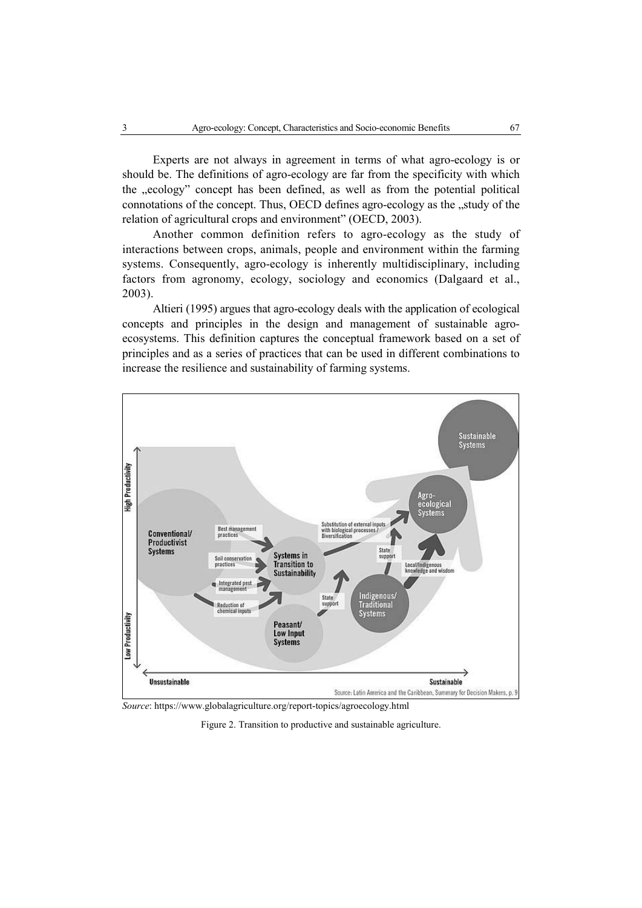Experts are not always in agreement in terms of what agro-ecology is or should be. The definitions of agro-ecology are far from the specificity with which the "ecology" concept has been defined, as well as from the potential political connotations of the concept. Thus, OECD defines agro-ecology as the "study of the relation of agricultural crops and environment" (OECD, 2003).

Another common definition refers to agro-ecology as the study of interactions between crops, animals, people and environment within the farming systems. Consequently, agro-ecology is inherently multidisciplinary, including factors from agronomy, ecology, sociology and economics (Dalgaard et al., 2003).

Altieri (1995) argues that agro-ecology deals with the application of ecological concepts and principles in the design and management of sustainable agroecosystems. This definition captures the conceptual framework based on a set of principles and as a series of practices that can be used in different combinations to increase the resilience and sustainability of farming systems.



*Source*: https://www.globalagriculture.org/report-topics/agroecology.html

Figure 2. Transition to productive and sustainable agriculture.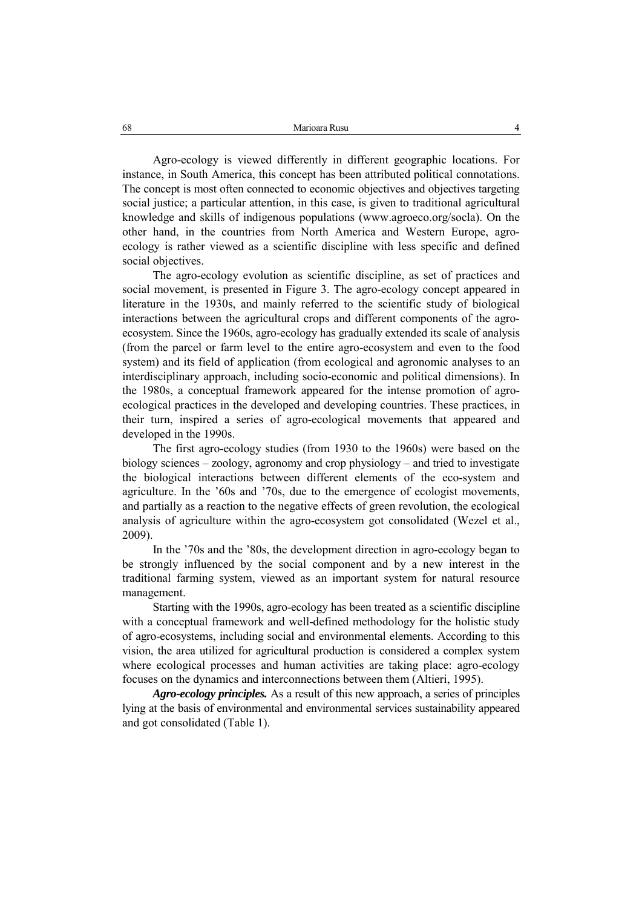Agro-ecology is viewed differently in different geographic locations. For instance, in South America, this concept has been attributed political connotations. The concept is most often connected to economic objectives and objectives targeting social justice; a particular attention, in this case, is given to traditional agricultural knowledge and skills of indigenous populations (www.agroeco.org/socla). On the other hand, in the countries from North America and Western Europe, agroecology is rather viewed as a scientific discipline with less specific and defined social objectives.

The agro-ecology evolution as scientific discipline, as set of practices and social movement, is presented in Figure 3. The agro-ecology concept appeared in literature in the 1930s, and mainly referred to the scientific study of biological interactions between the agricultural crops and different components of the agroecosystem. Since the 1960s, agro-ecology has gradually extended its scale of analysis (from the parcel or farm level to the entire agro-ecosystem and even to the food system) and its field of application (from ecological and agronomic analyses to an interdisciplinary approach, including socio-economic and political dimensions). In the 1980s, a conceptual framework appeared for the intense promotion of agroecological practices in the developed and developing countries. These practices, in their turn, inspired a series of agro-ecological movements that appeared and developed in the 1990s.

The first agro-ecology studies (from 1930 to the 1960s) were based on the biology sciences – zoology, agronomy and crop physiology – and tried to investigate the biological interactions between different elements of the eco-system and agriculture. In the '60s and '70s, due to the emergence of ecologist movements, and partially as a reaction to the negative effects of green revolution, the ecological analysis of agriculture within the agro-ecosystem got consolidated (Wezel et al., 2009).

In the '70s and the '80s, the development direction in agro-ecology began to be strongly influenced by the social component and by a new interest in the traditional farming system, viewed as an important system for natural resource management.

Starting with the 1990s, agro-ecology has been treated as a scientific discipline with a conceptual framework and well-defined methodology for the holistic study of agro-ecosystems, including social and environmental elements. According to this vision, the area utilized for agricultural production is considered a complex system where ecological processes and human activities are taking place: agro-ecology focuses on the dynamics and interconnections between them (Altieri, 1995).

*Agro-ecology principles.* As a result of this new approach, a series of principles lying at the basis of environmental and environmental services sustainability appeared and got consolidated (Table 1).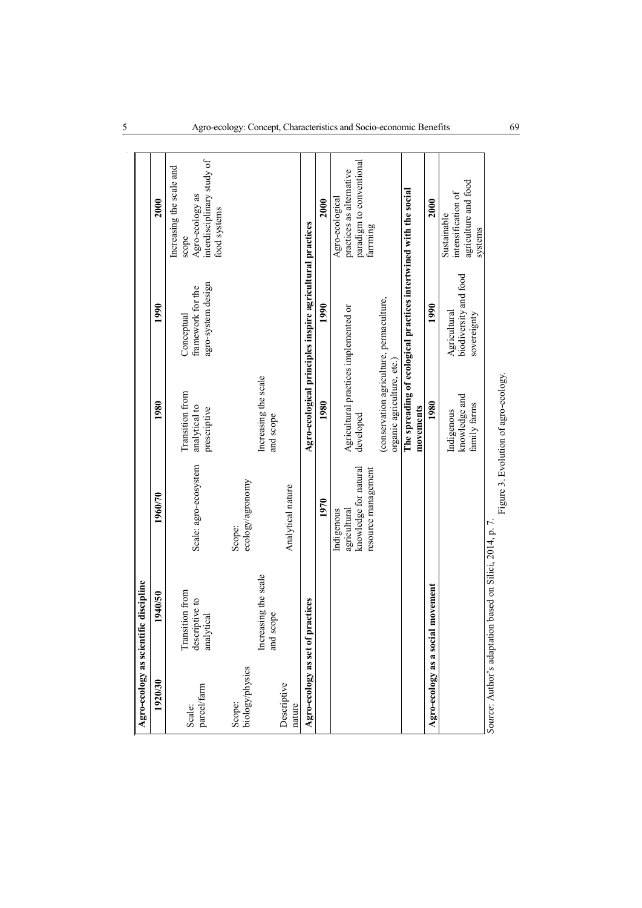|                           | Agro-ecology as scientific discipline                    |                                                                            |                                                                       |                                                                   |                                                                                                    |
|---------------------------|----------------------------------------------------------|----------------------------------------------------------------------------|-----------------------------------------------------------------------|-------------------------------------------------------------------|----------------------------------------------------------------------------------------------------|
| 1920/30                   | 1940/50                                                  | 1960/70                                                                    | 1980                                                                  | 1990                                                              | 2000                                                                                               |
| parcel/farm<br>Scale:     | Transition from<br>descriptive to<br>analytical          | Scale: agro-ecosystem                                                      | Transition from<br>analytical to<br>prescriptive                      | agro-system design<br>framework for the<br>Conceptual             | interdisciplinary study of<br>Increasing the scale and<br>Agro-ecology as<br>food systems<br>scope |
| biology/physics<br>Scope: | Increasing the scale<br>scope<br>and                     | ecology/agronomy<br>Scope:                                                 | Increasing the scale<br>and scope                                     |                                                                   |                                                                                                    |
| Descriptive<br>nature     |                                                          | Analytical nature                                                          |                                                                       |                                                                   |                                                                                                    |
| Agro-ecology as set of    | practices                                                |                                                                            |                                                                       | Agro-ecological principles inspire agricultural practices         |                                                                                                    |
|                           |                                                          | 1970                                                                       | 1980                                                                  | 1990                                                              | 2000                                                                                               |
|                           |                                                          | knowledge for natural<br>resource management<br>agricultural<br>Indigenous | Agricultural practices implemented or<br>developed                    |                                                                   | paradigm to conventional<br>practices as alternative<br>Agro-ecological<br>farrming                |
|                           |                                                          |                                                                            | (conservation agriculture, permaculture,<br>organic agriculture, etc. |                                                                   |                                                                                                    |
|                           |                                                          |                                                                            | movements                                                             | The spreading of ecological practices intertwined with the social |                                                                                                    |
|                           | Agro-ecology as a social movement                        |                                                                            | 1980                                                                  | 1990                                                              | 2000                                                                                               |
|                           |                                                          |                                                                            | knowledge and<br>family farms<br>Indigenous                           | biodiversity and food<br>Agricultural<br>sovereignty              | agriculture and food<br>intensification of<br>Sustainable<br>systems                               |
|                           | Source: Author's adaptation based on Silici, 2014, p. 7. |                                                                            | Figure 3. Evolution of agro-ecology.                                  |                                                                   |                                                                                                    |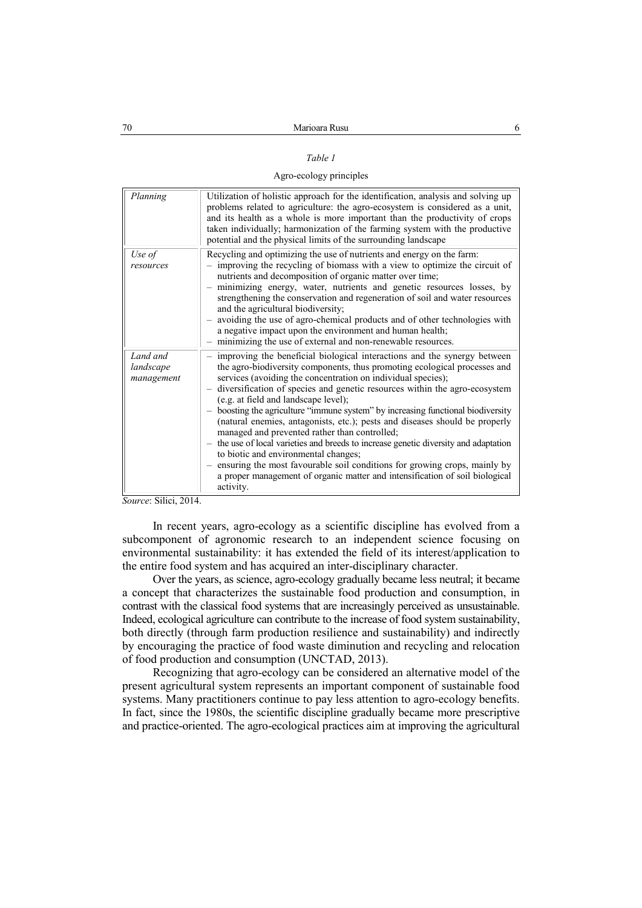#### *Table 1*

#### Agro-ecology principles

| Planning                            | Utilization of holistic approach for the identification, analysis and solving up<br>problems related to agriculture: the agro-ecosystem is considered as a unit,<br>and its health as a whole is more important than the productivity of crops<br>taken individually; harmonization of the farming system with the productive<br>potential and the physical limits of the surrounding landscape                                                                                                                                                                                                                                                                                                                                                                                                                                                                             |
|-------------------------------------|-----------------------------------------------------------------------------------------------------------------------------------------------------------------------------------------------------------------------------------------------------------------------------------------------------------------------------------------------------------------------------------------------------------------------------------------------------------------------------------------------------------------------------------------------------------------------------------------------------------------------------------------------------------------------------------------------------------------------------------------------------------------------------------------------------------------------------------------------------------------------------|
| Use of<br>resources                 | Recycling and optimizing the use of nutrients and energy on the farm:<br>- improving the recycling of biomass with a view to optimize the circuit of<br>nutrients and decomposition of organic matter over time;<br>- minimizing energy, water, nutrients and genetic resources losses, by<br>strengthening the conservation and regeneration of soil and water resources<br>and the agricultural biodiversity;<br>- avoiding the use of agro-chemical products and of other technologies with<br>a negative impact upon the environment and human health;<br>- minimizing the use of external and non-renewable resources.                                                                                                                                                                                                                                                 |
| Land and<br>landscape<br>management | improving the beneficial biological interactions and the synergy between<br>the agro-biodiversity components, thus promoting ecological processes and<br>services (avoiding the concentration on individual species);<br>diversification of species and genetic resources within the agro-ecosystem<br>(e.g. at field and landscape level);<br>- boosting the agriculture "immune system" by increasing functional biodiversity<br>(natural enemies, antagonists, etc.); pests and diseases should be properly<br>managed and prevented rather than controlled;<br>- the use of local varieties and breeds to increase genetic diversity and adaptation<br>to biotic and environmental changes;<br>- ensuring the most favourable soil conditions for growing crops, mainly by<br>a proper management of organic matter and intensification of soil biological<br>activity. |

*Source*: Silici, 2014.

In recent years, agro-ecology as a scientific discipline has evolved from a subcomponent of agronomic research to an independent science focusing on environmental sustainability: it has extended the field of its interest/application to the entire food system and has acquired an inter-disciplinary character.

Over the years, as science, agro-ecology gradually became less neutral; it became a concept that characterizes the sustainable food production and consumption, in contrast with the classical food systems that are increasingly perceived as unsustainable. Indeed, ecological agriculture can contribute to the increase of food system sustainability, both directly (through farm production resilience and sustainability) and indirectly by encouraging the practice of food waste diminution and recycling and relocation of food production and consumption (UNCTAD, 2013).

Recognizing that agro-ecology can be considered an alternative model of the present agricultural system represents an important component of sustainable food systems. Many practitioners continue to pay less attention to agro-ecology benefits. In fact, since the 1980s, the scientific discipline gradually became more prescriptive and practice-oriented. The agro-ecological practices aim at improving the agricultural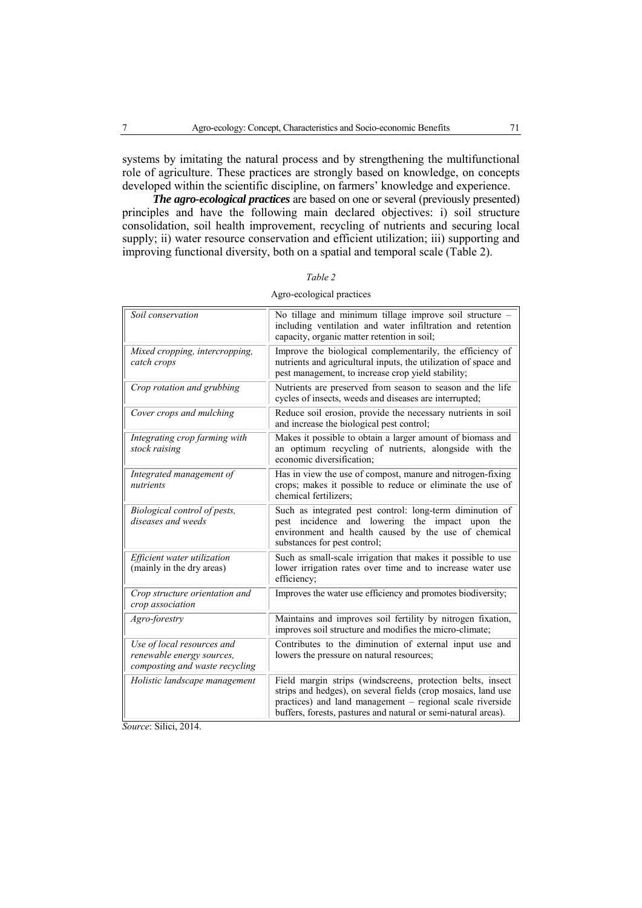systems by imitating the natural process and by strengthening the multifunctional role of agriculture. These practices are strongly based on knowledge, on concepts developed within the scientific discipline, on farmers' knowledge and experience.

*The agro-ecological practices* are based on one or several (previously presented) principles and have the following main declared objectives: i) soil structure consolidation, soil health improvement, recycling of nutrients and securing local supply; ii) water resource conservation and efficient utilization; iii) supporting and improving functional diversity, both on a spatial and temporal scale (Table 2).

| Soil conservation                                                                         | No tillage and minimum tillage improve soil structure -<br>including ventilation and water infiltration and retention<br>capacity, organic matter retention in soil;                                                                                       |
|-------------------------------------------------------------------------------------------|------------------------------------------------------------------------------------------------------------------------------------------------------------------------------------------------------------------------------------------------------------|
| Mixed cropping, intercropping,<br>catch crops                                             | Improve the biological complementarily, the efficiency of<br>nutrients and agricultural inputs, the utilization of space and<br>pest management, to increase crop yield stability;                                                                         |
| Crop rotation and grubbing                                                                | Nutrients are preserved from season to season and the life<br>cycles of insects, weeds and diseases are interrupted;                                                                                                                                       |
| Cover crops and mulching                                                                  | Reduce soil erosion, provide the necessary nutrients in soil<br>and increase the biological pest control;                                                                                                                                                  |
| Integrating crop farming with<br>stock raising                                            | Makes it possible to obtain a larger amount of biomass and<br>an optimum recycling of nutrients, alongside with the<br>economic diversification:                                                                                                           |
| Integrated management of<br>nutrients                                                     | Has in view the use of compost, manure and nitrogen-fixing<br>crops; makes it possible to reduce or eliminate the use of<br>chemical fertilizers;                                                                                                          |
| Biological control of pests,<br>diseases and weeds                                        | Such as integrated pest control: long-term diminution of<br>pest incidence and lowering the impact upon the<br>environment and health caused by the use of chemical<br>substances for pest control;                                                        |
| Efficient water utilization<br>(mainly in the dry areas)                                  | Such as small-scale irrigation that makes it possible to use<br>lower irrigation rates over time and to increase water use<br>efficiency;                                                                                                                  |
| Crop structure orientation and<br>crop association                                        | Improves the water use efficiency and promotes biodiversity;                                                                                                                                                                                               |
| Agro-forestry                                                                             | Maintains and improves soil fertility by nitrogen fixation,<br>improves soil structure and modifies the micro-climate;                                                                                                                                     |
| Use of local resources and<br>renewable energy sources,<br>composting and waste recycling | Contributes to the diminution of external input use and<br>lowers the pressure on natural resources;                                                                                                                                                       |
| Holistic landscape management                                                             | Field margin strips (windscreens, protection belts, insect<br>strips and hedges), on several fields (crop mosaics, land use<br>practices) and land management – regional scale riverside<br>buffers, forests, pastures and natural or semi-natural areas). |

| Table 2                   |
|---------------------------|
| Agro-ecological practices |

*Source*: Silici, 2014.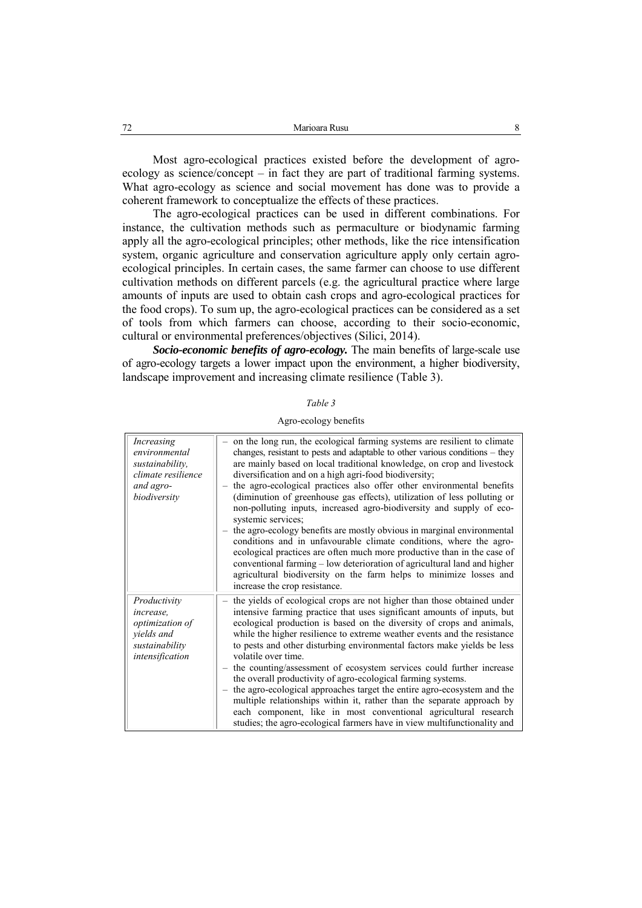Most agro-ecological practices existed before the development of agroecology as science/concept – in fact they are part of traditional farming systems. What agro-ecology as science and social movement has done was to provide a coherent framework to conceptualize the effects of these practices.

The agro-ecological practices can be used in different combinations. For instance, the cultivation methods such as permaculture or biodynamic farming apply all the agro-ecological principles; other methods, like the rice intensification system, organic agriculture and conservation agriculture apply only certain agroecological principles. In certain cases, the same farmer can choose to use different cultivation methods on different parcels (e.g. the agricultural practice where large amounts of inputs are used to obtain cash crops and agro-ecological practices for the food crops). To sum up, the agro-ecological practices can be considered as a set of tools from which farmers can choose, according to their socio-economic, cultural or environmental preferences/objectives (Silici, 2014).

*Socio-economic benefits of agro-ecology.* The main benefits of large-scale use of agro-ecology targets a lower impact upon the environment, a higher biodiversity, landscape improvement and increasing climate resilience (Table 3).

| Agro-ecology benefits |  |  |
|-----------------------|--|--|
|-----------------------|--|--|

| Increasing<br>environmental<br>sustainability,<br>climate resilience<br>and agro-<br>biodiversity | - on the long run, the ecological farming systems are resilient to climate<br>changes, resistant to pests and adaptable to other various conditions - they<br>are mainly based on local traditional knowledge, on crop and livestock<br>diversification and on a high agri-food biodiversity;<br>the agro-ecological practices also offer other environmental benefits<br>(diminution of greenhouse gas effects), utilization of less polluting or<br>non-polluting inputs, increased agro-biodiversity and supply of eco-<br>systemic services;<br>the agro-ecology benefits are mostly obvious in marginal environmental<br>conditions and in unfavourable climate conditions, where the agro-<br>ecological practices are often much more productive than in the case of<br>conventional farming - low deterioration of agricultural land and higher<br>agricultural biodiversity on the farm helps to minimize losses and<br>increase the crop resistance. |
|---------------------------------------------------------------------------------------------------|----------------------------------------------------------------------------------------------------------------------------------------------------------------------------------------------------------------------------------------------------------------------------------------------------------------------------------------------------------------------------------------------------------------------------------------------------------------------------------------------------------------------------------------------------------------------------------------------------------------------------------------------------------------------------------------------------------------------------------------------------------------------------------------------------------------------------------------------------------------------------------------------------------------------------------------------------------------|
| Productivity<br>increase.<br>optimization of<br>yields and<br>sustainability<br>intensification   | the yields of ecological crops are not higher than those obtained under<br>intensive farming practice that uses significant amounts of inputs, but<br>ecological production is based on the diversity of crops and animals,<br>while the higher resilience to extreme weather events and the resistance<br>to pests and other disturbing environmental factors make yields be less<br>volatile over time.<br>- the counting/assessment of ecosystem services could further increase<br>the overall productivity of agro-ecological farming systems.<br>the agro-ecological approaches target the entire agro-ecosystem and the<br>multiple relationships within it, rather than the separate approach by<br>each component, like in most conventional agricultural research<br>studies; the agro-ecological farmers have in view multifunctionality and                                                                                                        |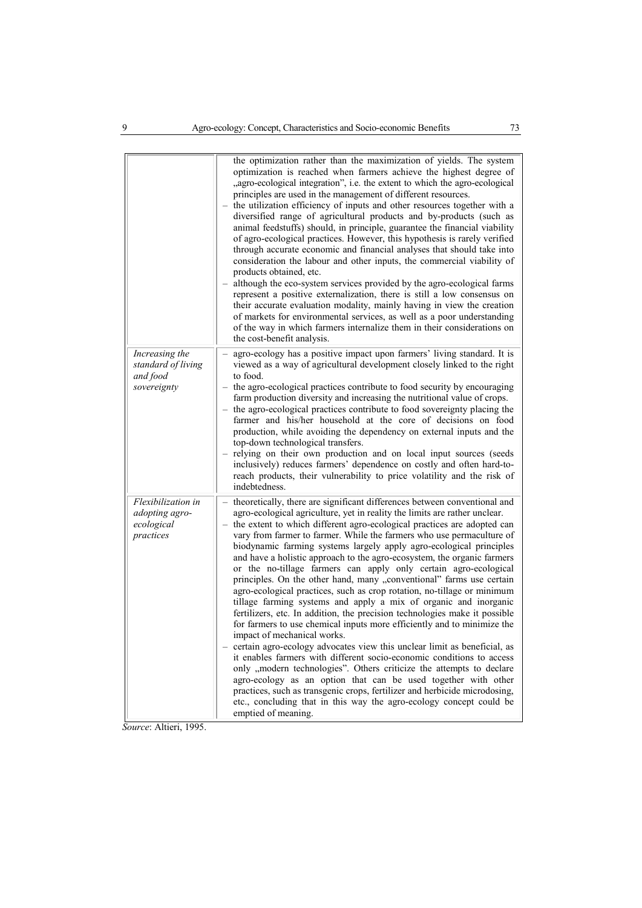|                                                                 | the optimization rather than the maximization of yields. The system<br>optimization is reached when farmers achieve the highest degree of<br>"agro-ecological integration", i.e. the extent to which the agro-ecological<br>principles are used in the management of different resources.<br>the utilization efficiency of inputs and other resources together with a<br>diversified range of agricultural products and by-products (such as<br>animal feedstuffs) should, in principle, guarantee the financial viability<br>of agro-ecological practices. However, this hypothesis is rarely verified<br>through accurate economic and financial analyses that should take into<br>consideration the labour and other inputs, the commercial viability of<br>products obtained, etc.<br>although the eco-system services provided by the agro-ecological farms<br>represent a positive externalization, there is still a low consensus on<br>their accurate evaluation modality, mainly having in view the creation<br>of markets for environmental services, as well as a poor understanding<br>of the way in which farmers internalize them in their considerations on<br>the cost-benefit analysis.                                                                                                                                                                                                                      |
|-----------------------------------------------------------------|-------------------------------------------------------------------------------------------------------------------------------------------------------------------------------------------------------------------------------------------------------------------------------------------------------------------------------------------------------------------------------------------------------------------------------------------------------------------------------------------------------------------------------------------------------------------------------------------------------------------------------------------------------------------------------------------------------------------------------------------------------------------------------------------------------------------------------------------------------------------------------------------------------------------------------------------------------------------------------------------------------------------------------------------------------------------------------------------------------------------------------------------------------------------------------------------------------------------------------------------------------------------------------------------------------------------------------------------------------------------------------------------------------------------------------|
| Increasing the<br>standard of living<br>and food<br>sovereignty | agro-ecology has a positive impact upon farmers' living standard. It is<br>viewed as a way of agricultural development closely linked to the right<br>to food.<br>- the agro-ecological practices contribute to food security by encouraging<br>farm production diversity and increasing the nutritional value of crops.<br>- the agro-ecological practices contribute to food sovereignty placing the<br>farmer and his/her household at the core of decisions on food<br>production, while avoiding the dependency on external inputs and the<br>top-down technological transfers.<br>- relying on their own production and on local input sources (seeds<br>inclusively) reduces farmers' dependence on costly and often hard-to-<br>reach products, their vulnerability to price volatility and the risk of<br>indebtedness.                                                                                                                                                                                                                                                                                                                                                                                                                                                                                                                                                                                              |
| Flexibilization in<br>adopting agro-<br>ecological<br>practices | theoretically, there are significant differences between conventional and<br>agro-ecological agriculture, yet in reality the limits are rather unclear.<br>the extent to which different agro-ecological practices are adopted can<br>vary from farmer to farmer. While the farmers who use permaculture of<br>biodynamic farming systems largely apply agro-ecological principles<br>and have a holistic approach to the agro-ecosystem, the organic farmers<br>or the no-tillage farmers can apply only certain agro-ecological<br>principles. On the other hand, many "conventional" farms use certain<br>agro-ecological practices, such as crop rotation, no-tillage or minimum<br>tillage farming systems and apply a mix of organic and inorganic<br>fertilizers, etc. In addition, the precision technologies make it possible<br>for farmers to use chemical inputs more efficiently and to minimize the<br>impact of mechanical works.<br>- certain agro-ecology advocates view this unclear limit as beneficial, as<br>it enables farmers with different socio-economic conditions to access<br>only "modern technologies". Others criticize the attempts to declare<br>agro-ecology as an option that can be used together with other<br>practices, such as transgenic crops, fertilizer and herbicide microdosing,<br>etc., concluding that in this way the agro-ecology concept could be<br>emptied of meaning. |

*Source*: Altieri, 1995.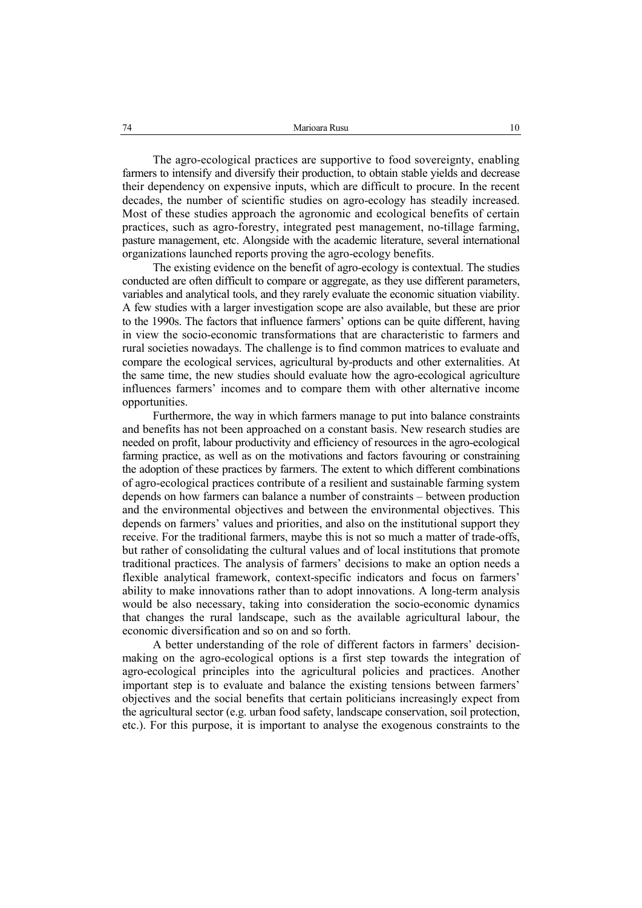The agro-ecological practices are supportive to food sovereignty, enabling farmers to intensify and diversify their production, to obtain stable yields and decrease their dependency on expensive inputs, which are difficult to procure. In the recent decades, the number of scientific studies on agro-ecology has steadily increased. Most of these studies approach the agronomic and ecological benefits of certain practices, such as agro-forestry, integrated pest management, no-tillage farming, pasture management, etc. Alongside with the academic literature, several international organizations launched reports proving the agro-ecology benefits.

The existing evidence on the benefit of agro-ecology is contextual. The studies conducted are often difficult to compare or aggregate, as they use different parameters, variables and analytical tools, and they rarely evaluate the economic situation viability. A few studies with a larger investigation scope are also available, but these are prior to the 1990s. The factors that influence farmers' options can be quite different, having in view the socio-economic transformations that are characteristic to farmers and rural societies nowadays. The challenge is to find common matrices to evaluate and compare the ecological services, agricultural by-products and other externalities. At the same time, the new studies should evaluate how the agro-ecological agriculture influences farmers' incomes and to compare them with other alternative income opportunities.

Furthermore, the way in which farmers manage to put into balance constraints and benefits has not been approached on a constant basis. New research studies are needed on profit, labour productivity and efficiency of resources in the agro-ecological farming practice, as well as on the motivations and factors favouring or constraining the adoption of these practices by farmers. The extent to which different combinations of agro-ecological practices contribute of a resilient and sustainable farming system depends on how farmers can balance a number of constraints – between production and the environmental objectives and between the environmental objectives. This depends on farmers' values and priorities, and also on the institutional support they receive. For the traditional farmers, maybe this is not so much a matter of trade-offs, but rather of consolidating the cultural values and of local institutions that promote traditional practices. The analysis of farmers' decisions to make an option needs a flexible analytical framework, context-specific indicators and focus on farmers' ability to make innovations rather than to adopt innovations. A long-term analysis would be also necessary, taking into consideration the socio-economic dynamics that changes the rural landscape, such as the available agricultural labour, the economic diversification and so on and so forth.

A better understanding of the role of different factors in farmers' decisionmaking on the agro-ecological options is a first step towards the integration of agro-ecological principles into the agricultural policies and practices. Another important step is to evaluate and balance the existing tensions between farmers' objectives and the social benefits that certain politicians increasingly expect from the agricultural sector (e.g. urban food safety, landscape conservation, soil protection, etc.). For this purpose, it is important to analyse the exogenous constraints to the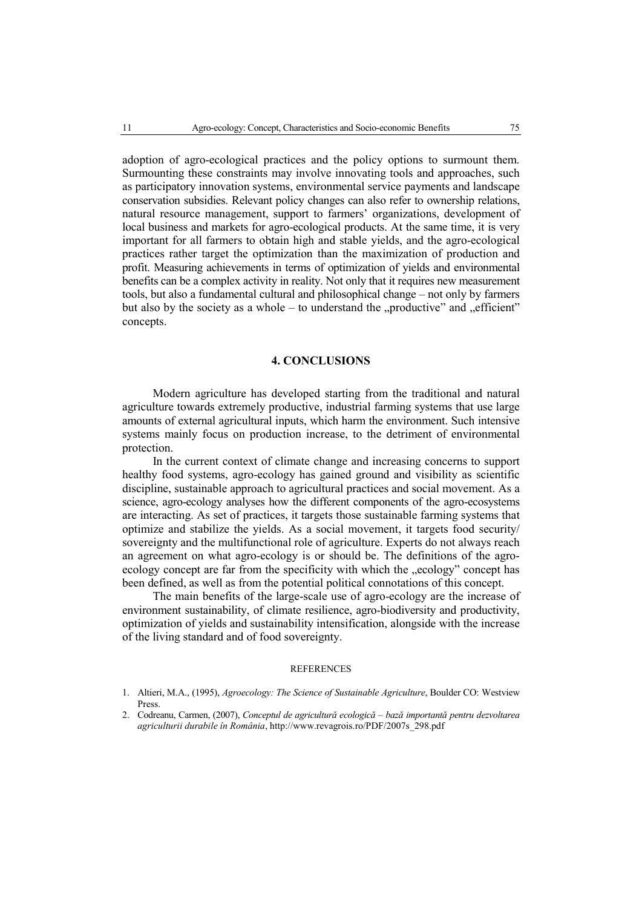adoption of agro-ecological practices and the policy options to surmount them. Surmounting these constraints may involve innovating tools and approaches, such as participatory innovation systems, environmental service payments and landscape conservation subsidies. Relevant policy changes can also refer to ownership relations, natural resource management, support to farmers' organizations, development of local business and markets for agro-ecological products. At the same time, it is very important for all farmers to obtain high and stable yields, and the agro-ecological practices rather target the optimization than the maximization of production and profit. Measuring achievements in terms of optimization of yields and environmental benefits can be a complex activity in reality. Not only that it requires new measurement tools, but also a fundamental cultural and philosophical change – not only by farmers but also by the society as a whole – to understand the "productive" and "efficient" concepts.

# **4. CONCLUSIONS**

Modern agriculture has developed starting from the traditional and natural agriculture towards extremely productive, industrial farming systems that use large amounts of external agricultural inputs, which harm the environment. Such intensive systems mainly focus on production increase, to the detriment of environmental protection.

In the current context of climate change and increasing concerns to support healthy food systems, agro-ecology has gained ground and visibility as scientific discipline, sustainable approach to agricultural practices and social movement. As a science, agro-ecology analyses how the different components of the agro-ecosystems are interacting. As set of practices, it targets those sustainable farming systems that optimize and stabilize the yields. As a social movement, it targets food security/ sovereignty and the multifunctional role of agriculture. Experts do not always reach an agreement on what agro-ecology is or should be. The definitions of the agroecology concept are far from the specificity with which the "ecology" concept has been defined, as well as from the potential political connotations of this concept.

The main benefits of the large-scale use of agro-ecology are the increase of environment sustainability, of climate resilience, agro-biodiversity and productivity, optimization of yields and sustainability intensification, alongside with the increase of the living standard and of food sovereignty.

#### **REFERENCES**

- 1. Altieri, M.A., (1995), *Agroecology: The Science of Sustainable Agriculture*, Boulder CO: Westview Press.
- 2. Codreanu, Carmen, (2007), *Conceptul de agricultură ecologică bază importantă pentru dezvoltarea agriculturii durabile în România*, http://www.revagrois.ro/PDF/2007s\_298.pdf